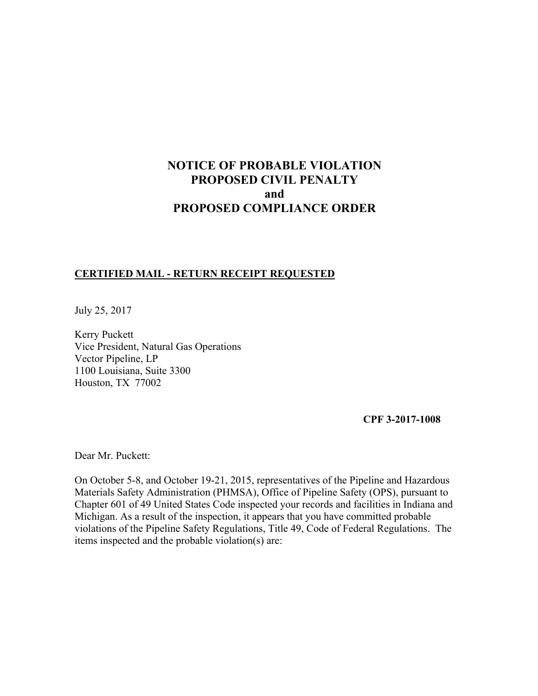# **NOTICE OF PROBABLE VIOLATION PROPOSED CIVIL PENALTY and PROPOSED COMPLIANCE ORDER**

# **CERTIFIED MAIL - RETURN RECEIPT REQUESTED**

July 25, 2017

Kerry Puckett Vice President, Natural Gas Operations Vector Pipeline, LP 1100 Louisiana, Suite 3300 Houston, TX 77002

**CPF 3-2017-1008** 

Dear Mr. Puckett:

On October 5-8, and October 19-21, 2015, representatives of the Pipeline and Hazardous Materials Safety Administration (PHMSA), Office of Pipeline Safety (OPS), pursuant to Chapter 601 of 49 United States Code inspected your records and facilities in Indiana and Michigan. As a result of the inspection, it appears that you have committed probable violations of the Pipeline Safety Regulations, Title 49, Code of Federal Regulations. The items inspected and the probable violation(s) are: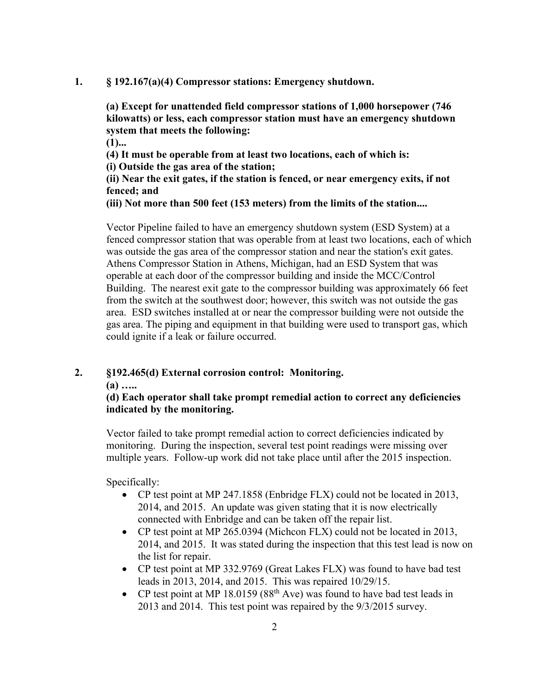### **1. § 192.167(a)(4) Compressor stations: Emergency shutdown.**

**(a) Except for unattended field compressor stations of 1,000 horsepower (746 kilowatts) or less, each compressor station must have an emergency shutdown system that meets the following:** 

**(1)...** 

**(4) It must be operable from at least two locations, each of which is: (i) Outside the gas area of the station;** 

**(ii) Near the exit gates, if the station is fenced, or near emergency exits, if not fenced; and** 

**(iii) Not more than 500 feet (153 meters) from the limits of the station....** 

Vector Pipeline failed to have an emergency shutdown system (ESD System) at a fenced compressor station that was operable from at least two locations, each of which was outside the gas area of the compressor station and near the station's exit gates. Athens Compressor Station in Athens, Michigan, had an ESD System that was operable at each door of the compressor building and inside the MCC/Control Building. The nearest exit gate to the compressor building was approximately 66 feet from the switch at the southwest door; however, this switch was not outside the gas area. ESD switches installed at or near the compressor building were not outside the gas area. The piping and equipment in that building were used to transport gas, which could ignite if a leak or failure occurred.

# **2. §192.465(d) External corrosion control: Monitoring.**

**(a) …..** 

# **(d) Each operator shall take prompt remedial action to correct any deficiencies indicated by the monitoring.**

Vector failed to take prompt remedial action to correct deficiencies indicated by monitoring. During the inspection, several test point readings were missing over multiple years. Follow-up work did not take place until after the 2015 inspection.

Specifically:

- CP test point at MP 247.1858 (Enbridge FLX) could not be located in 2013, 2014, and 2015. An update was given stating that it is now electrically connected with Enbridge and can be taken off the repair list.
- CP test point at MP 265.0394 (Michcon FLX) could not be located in 2013, 2014, and 2015. It was stated during the inspection that this test lead is now on the list for repair.
- CP test point at MP 332.9769 (Great Lakes FLX) was found to have bad test leads in 2013, 2014, and 2015. This was repaired 10/29/15.
- CP test point at MP 18.0159 ( $88<sup>th</sup>$  Ave) was found to have bad test leads in 2013 and 2014. This test point was repaired by the 9/3/2015 survey.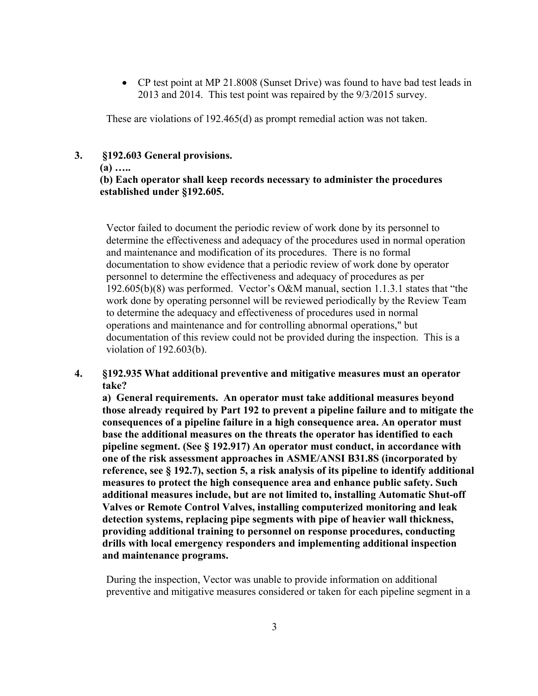CP test point at MP 21.8008 (Sunset Drive) was found to have bad test leads in 2013 and 2014. This test point was repaired by the 9/3/2015 survey.

These are violations of 192.465(d) as prompt remedial action was not taken.

### **3. §192.603 General provisions.**

### **(a) …..**

# **(b) Each operator shall keep records necessary to administer the procedures established under §192.605.**

Vector failed to document the periodic review of work done by its personnel to determine the effectiveness and adequacy of the procedures used in normal operation and maintenance and modification of its procedures. There is no formal documentation to show evidence that a periodic review of work done by operator personnel to determine the effectiveness and adequacy of procedures as per 192.605(b)(8) was performed. Vector's O&M manual, section 1.1.3.1 states that "the work done by operating personnel will be reviewed periodically by the Review Team to determine the adequacy and effectiveness of procedures used in normal operations and maintenance and for controlling abnormal operations," but documentation of this review could not be provided during the inspection. This is a violation of 192.603(b).

# **4. §192.935 What additional preventive and mitigative measures must an operator take?**

**a) General requirements. An operator must take additional measures beyond those already required by Part 192 to prevent a pipeline failure and to mitigate the consequences of a pipeline failure in a high consequence area. An operator must base the additional measures on the threats the operator has identified to each pipeline segment. (See § 192.917) An operator must conduct, in accordance with one of the risk assessment approaches in ASME/ANSI B31.8S (incorporated by reference, see § 192.7), section 5, a risk analysis of its pipeline to identify additional measures to protect the high consequence area and enhance public safety. Such additional measures include, but are not limited to, installing Automatic Shut-off Valves or Remote Control Valves, installing computerized monitoring and leak detection systems, replacing pipe segments with pipe of heavier wall thickness, providing additional training to personnel on response procedures, conducting drills with local emergency responders and implementing additional inspection and maintenance programs.** 

During the inspection, Vector was unable to provide information on additional preventive and mitigative measures considered or taken for each pipeline segment in a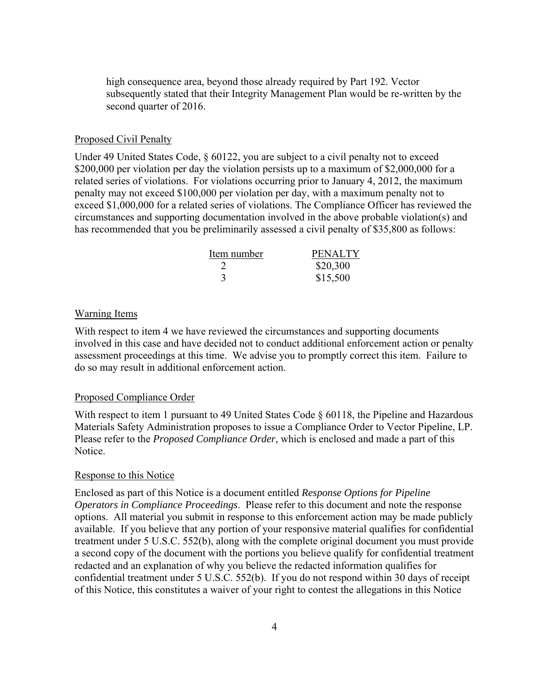high consequence area, beyond those already required by Part 192. Vector subsequently stated that their Integrity Management Plan would be re-written by the second quarter of 2016.

### Proposed Civil Penalty

Under 49 United States Code, § 60122, you are subject to a civil penalty not to exceed \$200,000 per violation per day the violation persists up to a maximum of \$2,000,000 for a related series of violations. For violations occurring prior to January 4, 2012, the maximum penalty may not exceed \$100,000 per violation per day, with a maximum penalty not to exceed \$1,000,000 for a related series of violations. The Compliance Officer has reviewed the circumstances and supporting documentation involved in the above probable violation(s) and has recommended that you be preliminarily assessed a civil penalty of \$35,800 as follows:

| Item number | <b>PENALTY</b> |
|-------------|----------------|
|             | \$20,300       |
|             | \$15,500       |

### Warning Items

With respect to item 4 we have reviewed the circumstances and supporting documents involved in this case and have decided not to conduct additional enforcement action or penalty assessment proceedings at this time. We advise you to promptly correct this item. Failure to do so may result in additional enforcement action.

### Proposed Compliance Order

With respect to item 1 pursuant to 49 United States Code § 60118, the Pipeline and Hazardous Materials Safety Administration proposes to issue a Compliance Order to Vector Pipeline, LP. Please refer to the *Proposed Compliance Order*, which is enclosed and made a part of this Notice.

#### Response to this Notice

Enclosed as part of this Notice is a document entitled *Response Options for Pipeline Operators in Compliance Proceedings*. Please refer to this document and note the response options. All material you submit in response to this enforcement action may be made publicly available. If you believe that any portion of your responsive material qualifies for confidential treatment under 5 U.S.C. 552(b), along with the complete original document you must provide a second copy of the document with the portions you believe qualify for confidential treatment redacted and an explanation of why you believe the redacted information qualifies for confidential treatment under 5 U.S.C. 552(b). If you do not respond within 30 days of receipt of this Notice, this constitutes a waiver of your right to contest the allegations in this Notice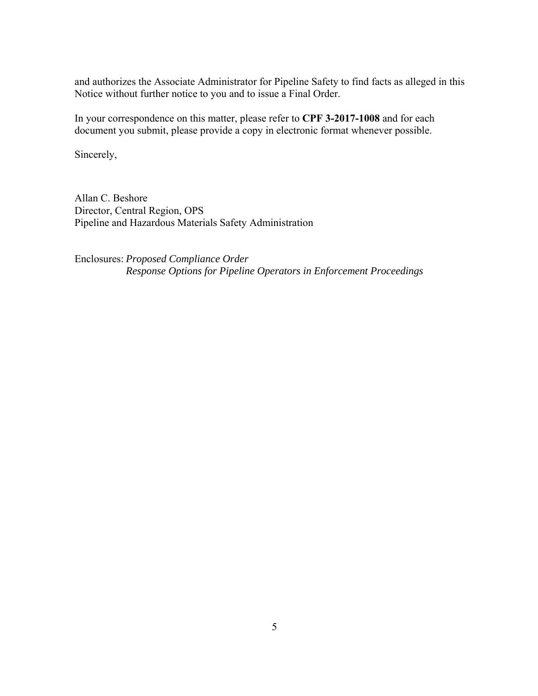and authorizes the Associate Administrator for Pipeline Safety to find facts as alleged in this Notice without further notice to you and to issue a Final Order.

In your correspondence on this matter, please refer to **CPF 3-2017-1008** and for each document you submit, please provide a copy in electronic format whenever possible.

Sincerely,

Allan C. Beshore Director, Central Region, OPS Pipeline and Hazardous Materials Safety Administration

Enclosures: *Proposed Compliance Order Response Options for Pipeline Operators in Enforcement Proceedings*